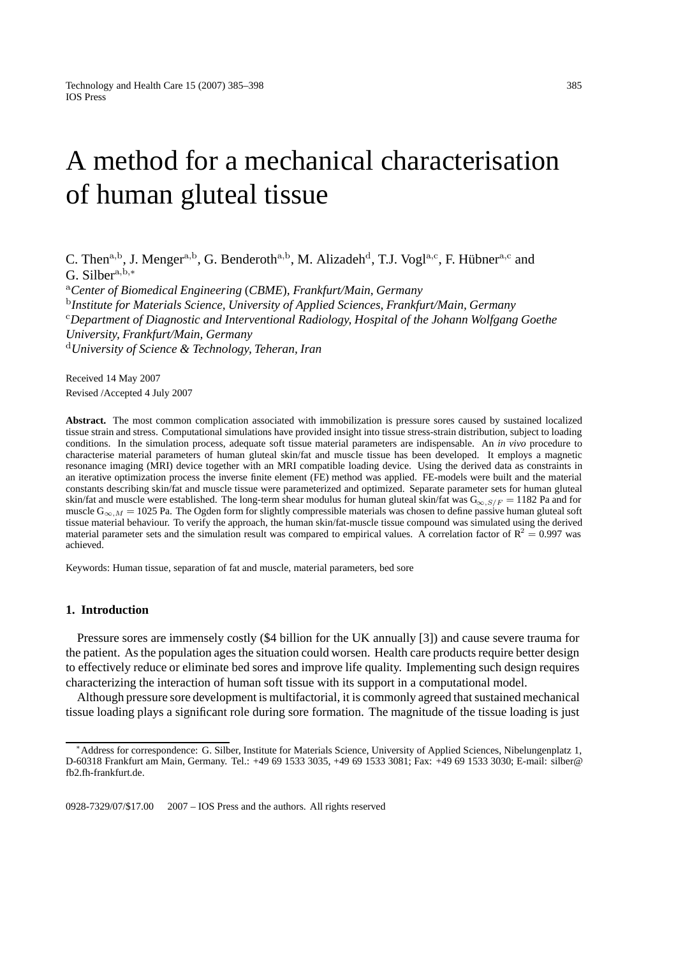# A method for a mechanical characterisation of human gluteal tissue

C. Then<sup>a,b</sup>, J. Menger<sup>a,b</sup>, G. Benderoth<sup>a,b</sup>, M. Alizadeh<sup>d</sup>, T.J. Vogl<sup>a,c</sup>, F. Hübner<sup>a,c</sup> and G. Silber<sup>a</sup>,b,<sup>∗</sup>

<sup>a</sup>*Center of Biomedical Engineering* (*CBME*)*, Frankfurt/Main, Germany*

<sup>b</sup>*Institute for Materials Science, University of Applied Sciences, Frankfurt/Main, Germany* <sup>c</sup>*Department of Diagnostic and Interventional Radiology, Hospital of the Johann Wolfgang Goethe University, Frankfurt/Main, Germany* <sup>d</sup>*University of Science & Technology, Teheran, Iran*

Received 14 May 2007 Revised /Accepted 4 July 2007

**Abstract.** The most common complication associated with immobilization is pressure sores caused by sustained localized tissue strain and stress. Computational simulations have provided insight into tissue stress-strain distribution, subject to loading conditions. In the simulation process, adequate soft tissue material parameters are indispensable. An *in vivo* procedure to characterise material parameters of human gluteal skin/fat and muscle tissue has been developed. It employs a magnetic resonance imaging (MRI) device together with an MRI compatible loading device. Using the derived data as constraints in an iterative optimization process the inverse finite element (FE) method was applied. FE-models were built and the material constants describing skin/fat and muscle tissue were parameterized and optimized. Separate parameter sets for human gluteal skin/fat and muscle were established. The long-term shear modulus for human gluteal skin/fat was  $G_{\infty,S/F} = 1182$  Pa and for muscle  $G_{\infty,M} = 1025$  Pa. The Ogden form for slightly compressible materials was chosen to define passive human gluteal soft tissue material behaviour. To verify the approach, the human skin/fat-muscle tissue compound was simulated using the derived material parameter sets and the simulation result was compared to empirical values. A correlation factor of  $\mathbb{R}^2 = 0.997$  was achieved.

Keywords: Human tissue, separation of fat and muscle, material parameters, bed sore

# **1. Introduction**

Pressure sores are immensely costly (\$4 billion for the UK annually [3]) and cause severe trauma for the patient. As the population ages the situation could worsen. Health care products require better design to effectively reduce or eliminate bed sores and improve life quality. Implementing such design requires characterizing the interaction of human soft tissue with its support in a computational model.

Although pressure sore development is multifactorial, it is commonly agreed that sustained mechanical tissue loading plays a significant role during sore formation. The magnitude of the tissue loading is just

<sup>∗</sup>Address for correspondence: G. Silber, Institute for Materials Science, University of Applied Sciences, Nibelungenplatz 1, D-60318 Frankfurt am Main, Germany. Tel.: +49 69 1533 3035, +49 69 1533 3081; Fax: +49 69 1533 3030; E-mail: silber@ fb2.fh-frankfurt.de.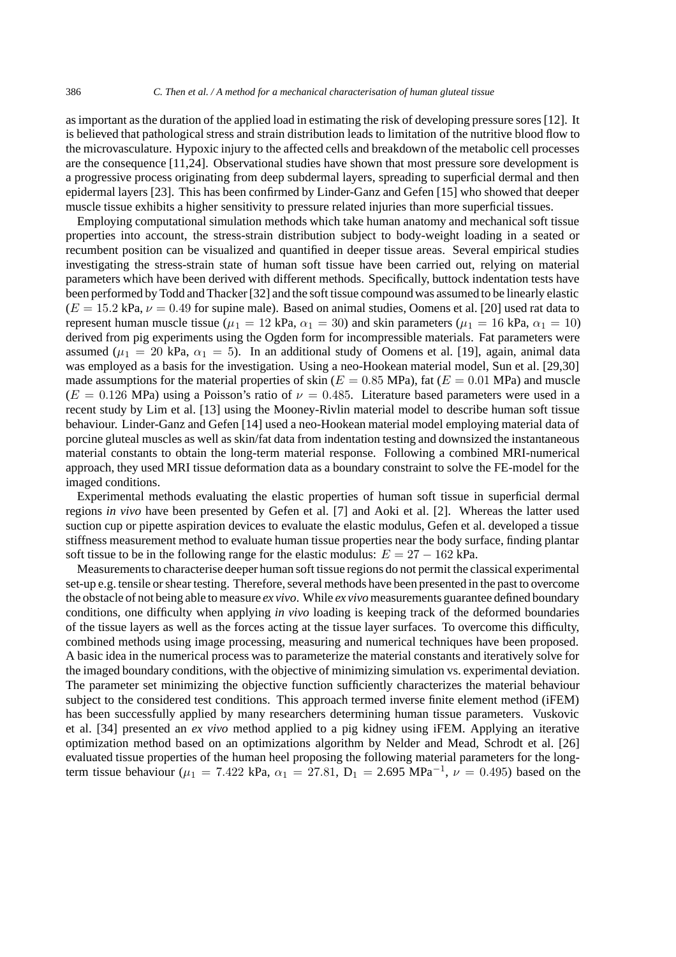as important as the duration of the applied load in estimating the risk of developing pressure sores [12]. It is believed that pathological stress and strain distribution leads to limitation of the nutritive blood flow to the microvasculature. Hypoxic injury to the affected cells and breakdown of the metabolic cell processes are the consequence [11,24]. Observational studies have shown that most pressure sore development is a progressive process originating from deep subdermal layers, spreading to superficial dermal and then epidermal layers [23]. This has been confirmed by Linder-Ganz and Gefen [15] who showed that deeper muscle tissue exhibits a higher sensitivity to pressure related injuries than more superficial tissues.

Employing computational simulation methods which take human anatomy and mechanical soft tissue properties into account, the stress-strain distribution subject to body-weight loading in a seated or recumbent position can be visualized and quantified in deeper tissue areas. Several empirical studies investigating the stress-strain state of human soft tissue have been carried out, relying on material parameters which have been derived with different methods. Specifically, buttock indentation tests have been performed by Todd and Thacker [32] and the soft tissue compound was assumed to be linearly elastic  $(E = 15.2 \text{ kPa}, \nu = 0.49 \text{ for simple male})$ . Based on animal studies, Oomens et al. [20] used rat data to represent human muscle tissue ( $\mu_1 = 12$  kPa,  $\alpha_1 = 30$ ) and skin parameters ( $\mu_1 = 16$  kPa,  $\alpha_1 = 10$ ) derived from pig experiments using the Ogden form for incompressible materials. Fat parameters were assumed ( $\mu_1 = 20$  kPa,  $\alpha_1 = 5$ ). In an additional study of Oomens et al. [19], again, animal data was employed as a basis for the investigation. Using a neo-Hookean material model, Sun et al. [29,30] made assumptions for the material properties of skin ( $E = 0.85$  MPa), fat ( $E = 0.01$  MPa) and muscle  $(E = 0.126$  MPa) using a Poisson's ratio of  $\nu = 0.485$ . Literature based parameters were used in a recent study by Lim et al. [13] using the Mooney-Rivlin material model to describe human soft tissue behaviour. Linder-Ganz and Gefen [14] used a neo-Hookean material model employing material data of porcine gluteal muscles as well as skin/fat data from indentation testing and downsized the instantaneous material constants to obtain the long-term material response. Following a combined MRI-numerical approach, they used MRI tissue deformation data as a boundary constraint to solve the FE-model for the imaged conditions.

Experimental methods evaluating the elastic properties of human soft tissue in superficial dermal regions *in vivo* have been presented by Gefen et al. [7] and Aoki et al. [2]. Whereas the latter used suction cup or pipette aspiration devices to evaluate the elastic modulus, Gefen et al. developed a tissue stiffness measurement method to evaluate human tissue properties near the body surface, finding plantar soft tissue to be in the following range for the elastic modulus:  $E = 27 - 162$  kPa.

Measurements to characterise deeper human soft tissue regions do not permit the classical experimental set-up e.g. tensile or shear testing. Therefore, several methods have been presented in the past to overcome the obstacle of not being able to measure *ex vivo*. While *ex vivo*measurements guarantee defined boundary conditions, one difficulty when applying *in vivo* loading is keeping track of the deformed boundaries of the tissue layers as well as the forces acting at the tissue layer surfaces. To overcome this difficulty, combined methods using image processing, measuring and numerical techniques have been proposed. A basic idea in the numerical process was to parameterize the material constants and iteratively solve for the imaged boundary conditions, with the objective of minimizing simulation vs. experimental deviation. The parameter set minimizing the objective function sufficiently characterizes the material behaviour subject to the considered test conditions. This approach termed inverse finite element method (iFEM) has been successfully applied by many researchers determining human tissue parameters. Vuskovic et al. [34] presented an *ex vivo* method applied to a pig kidney using iFEM. Applying an iterative optimization method based on an optimizations algorithm by Nelder and Mead, Schrodt et al. [26] evaluated tissue properties of the human heel proposing the following material parameters for the longterm tissue behaviour ( $\mu_1 = 7.422$  kPa,  $\alpha_1 = 27.81$ ,  $D_1 = 2.695$  MPa<sup>-1</sup>,  $\nu = 0.495$ ) based on the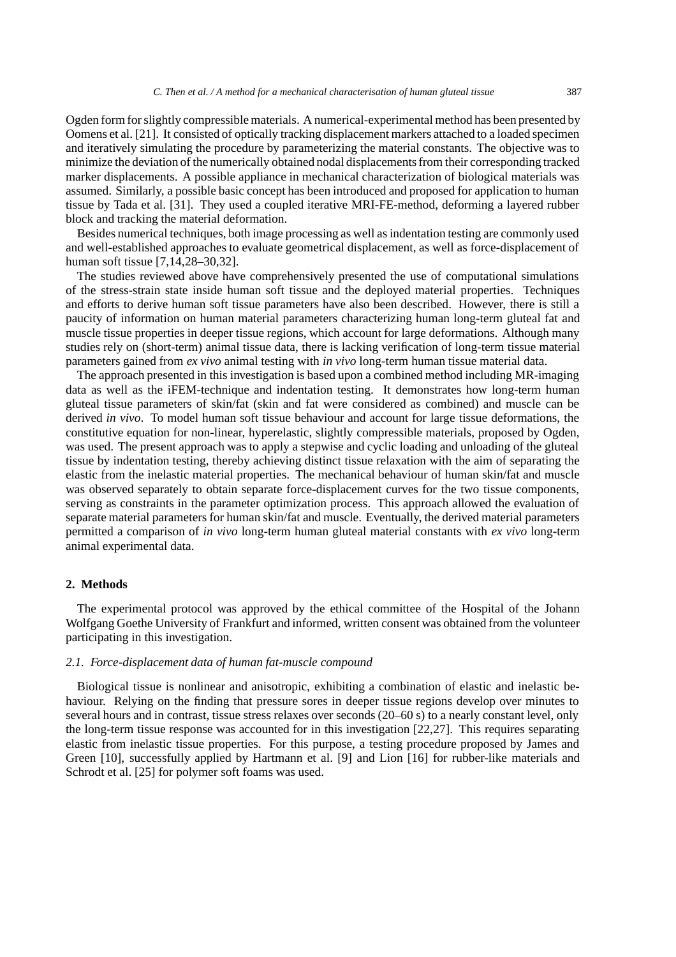Ogden form for slightly compressible materials. A numerical-experimental method has been presented by Oomens et al. [21]. It consisted of optically tracking displacement markers attached to a loaded specimen and iteratively simulating the procedure by parameterizing the material constants. The objective was to minimize the deviation of the numerically obtained nodal displacements from their corresponding tracked marker displacements. A possible appliance in mechanical characterization of biological materials was assumed. Similarly, a possible basic concept has been introduced and proposed for application to human tissue by Tada et al. [31]. They used a coupled iterative MRI-FE-method, deforming a layered rubber block and tracking the material deformation.

Besides numerical techniques, both image processing as well as indentation testing are commonly used and well-established approaches to evaluate geometrical displacement, as well as force-displacement of human soft tissue [7,14,28–30,32].

The studies reviewed above have comprehensively presented the use of computational simulations of the stress-strain state inside human soft tissue and the deployed material properties. Techniques and efforts to derive human soft tissue parameters have also been described. However, there is still a paucity of information on human material parameters characterizing human long-term gluteal fat and muscle tissue properties in deeper tissue regions, which account for large deformations. Although many studies rely on (short-term) animal tissue data, there is lacking verification of long-term tissue material parameters gained from *ex vivo* animal testing with *in vivo* long-term human tissue material data.

The approach presented in this investigation is based upon a combined method including MR-imaging data as well as the iFEM-technique and indentation testing. It demonstrates how long-term human gluteal tissue parameters of skin/fat (skin and fat were considered as combined) and muscle can be derived *in vivo*. To model human soft tissue behaviour and account for large tissue deformations, the constitutive equation for non-linear, hyperelastic, slightly compressible materials, proposed by Ogden, was used. The present approach was to apply a stepwise and cyclic loading and unloading of the gluteal tissue by indentation testing, thereby achieving distinct tissue relaxation with the aim of separating the elastic from the inelastic material properties. The mechanical behaviour of human skin/fat and muscle was observed separately to obtain separate force-displacement curves for the two tissue components, serving as constraints in the parameter optimization process. This approach allowed the evaluation of separate material parameters for human skin/fat and muscle. Eventually, the derived material parameters permitted a comparison of *in vivo* long-term human gluteal material constants with *ex vivo* long-term animal experimental data.

## **2. Methods**

The experimental protocol was approved by the ethical committee of the Hospital of the Johann Wolfgang Goethe University of Frankfurt and informed, written consent was obtained from the volunteer participating in this investigation.

## *2.1. Force-displacement data of human fat-muscle compound*

Biological tissue is nonlinear and anisotropic, exhibiting a combination of elastic and inelastic behaviour. Relying on the finding that pressure sores in deeper tissue regions develop over minutes to several hours and in contrast, tissue stress relaxes over seconds (20–60 s) to a nearly constant level, only the long-term tissue response was accounted for in this investigation [22,27]. This requires separating elastic from inelastic tissue properties. For this purpose, a testing procedure proposed by James and Green [10], successfully applied by Hartmann et al. [9] and Lion [16] for rubber-like materials and Schrodt et al. [25] for polymer soft foams was used.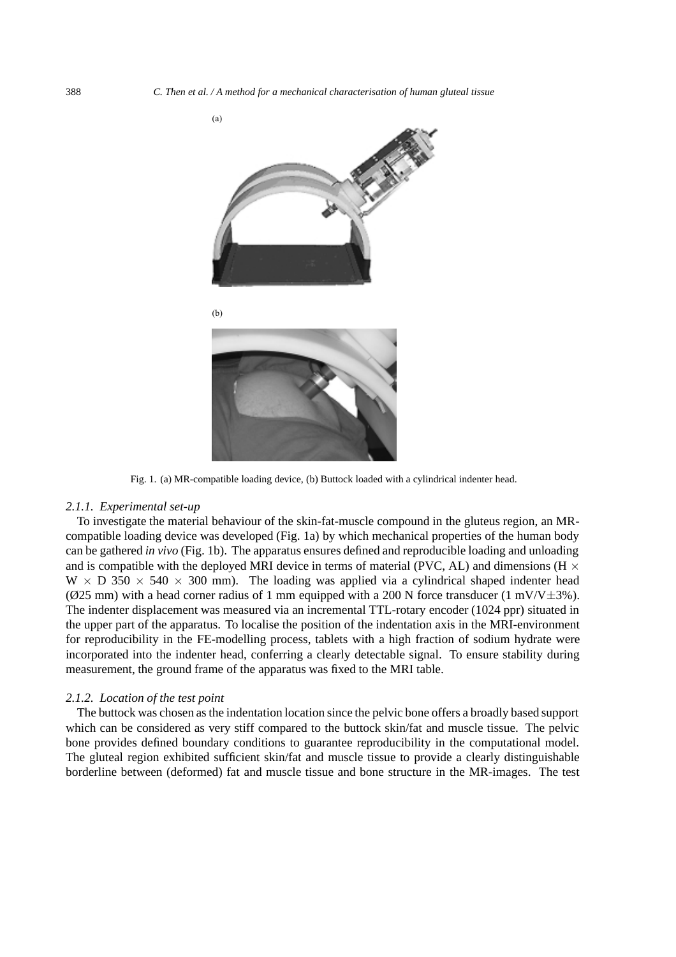

Fig. 1. (a) MR-compatible loading device, (b) Buttock loaded with a cylindrical indenter head.

#### *2.1.1. Experimental set-up*

To investigate the material behaviour of the skin-fat-muscle compound in the gluteus region, an MRcompatible loading device was developed (Fig. 1a) by which mechanical properties of the human body can be gathered *in vivo* (Fig. 1b). The apparatus ensures defined and reproducible loading and unloading and is compatible with the deployed MRI device in terms of material (PVC, AL) and dimensions (H  $\times$  $W \times D$  350  $\times$  540  $\times$  300 mm). The loading was applied via a cylindrical shaped indenter head ( $\varnothing$ 25 mm) with a head corner radius of 1 mm equipped with a 200 N force transducer (1 mV/V $\pm$ 3%). The indenter displacement was measured via an incremental TTL-rotary encoder (1024 ppr) situated in the upper part of the apparatus. To localise the position of the indentation axis in the MRI-environment for reproducibility in the FE-modelling process, tablets with a high fraction of sodium hydrate were incorporated into the indenter head, conferring a clearly detectable signal. To ensure stability during measurement, the ground frame of the apparatus was fixed to the MRI table.

#### *2.1.2. Location of the test point*

The buttock was chosen as the indentation location since the pelvic bone offers a broadly based support which can be considered as very stiff compared to the buttock skin/fat and muscle tissue. The pelvic bone provides defined boundary conditions to guarantee reproducibility in the computational model. The gluteal region exhibited sufficient skin/fat and muscle tissue to provide a clearly distinguishable borderline between (deformed) fat and muscle tissue and bone structure in the MR-images. The test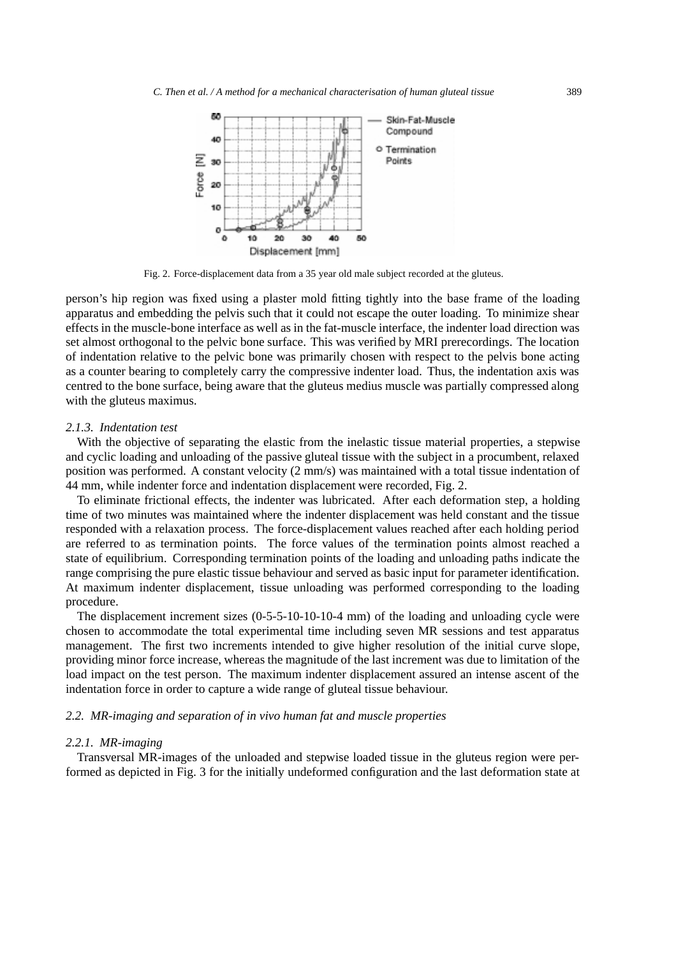

Fig. 2. Force-displacement data from a 35 year old male subject recorded at the gluteus.

person's hip region was fixed using a plaster mold fitting tightly into the base frame of the loading apparatus and embedding the pelvis such that it could not escape the outer loading. To minimize shear effects in the muscle-bone interface as well as in the fat-muscle interface, the indenter load direction was set almost orthogonal to the pelvic bone surface. This was verified by MRI prerecordings. The location of indentation relative to the pelvic bone was primarily chosen with respect to the pelvis bone acting as a counter bearing to completely carry the compressive indenter load. Thus, the indentation axis was centred to the bone surface, being aware that the gluteus medius muscle was partially compressed along with the gluteus maximus.

#### *2.1.3. Indentation test*

With the objective of separating the elastic from the inelastic tissue material properties, a stepwise and cyclic loading and unloading of the passive gluteal tissue with the subject in a procumbent, relaxed position was performed. A constant velocity (2 mm/s) was maintained with a total tissue indentation of 44 mm, while indenter force and indentation displacement were recorded, Fig. 2.

To eliminate frictional effects, the indenter was lubricated. After each deformation step, a holding time of two minutes was maintained where the indenter displacement was held constant and the tissue responded with a relaxation process. The force-displacement values reached after each holding period are referred to as termination points. The force values of the termination points almost reached a state of equilibrium. Corresponding termination points of the loading and unloading paths indicate the range comprising the pure elastic tissue behaviour and served as basic input for parameter identification. At maximum indenter displacement, tissue unloading was performed corresponding to the loading procedure.

The displacement increment sizes (0-5-5-10-10-10-4 mm) of the loading and unloading cycle were chosen to accommodate the total experimental time including seven MR sessions and test apparatus management. The first two increments intended to give higher resolution of the initial curve slope, providing minor force increase, whereas the magnitude of the last increment was due to limitation of the load impact on the test person. The maximum indenter displacement assured an intense ascent of the indentation force in order to capture a wide range of gluteal tissue behaviour.

## *2.2. MR-imaging and separation of in vivo human fat and muscle properties*

## *2.2.1. MR-imaging*

Transversal MR-images of the unloaded and stepwise loaded tissue in the gluteus region were performed as depicted in Fig. 3 for the initially undeformed configuration and the last deformation state at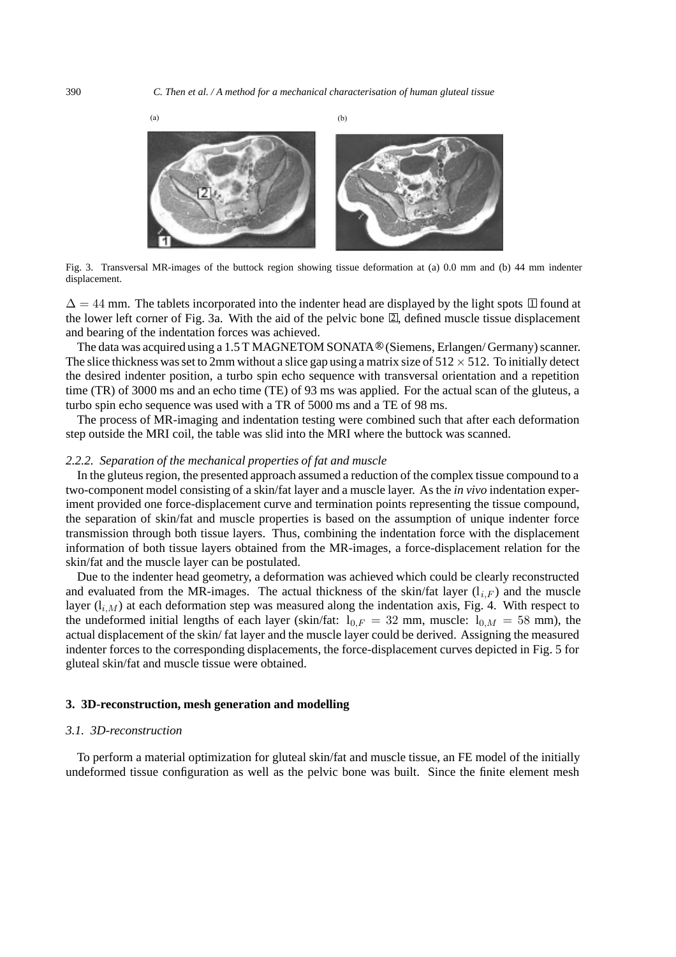390 *C. Then et al. / A method for a mechanical characterisation of human gluteal tissue*



Fig. 3. Transversal MR-images of the buttock region showing tissue deformation at (a) 0.0 mm and (b) 44 mm indenter displacement.

 $\Delta = 44$  mm. The tablets incorporated into the indenter head are displayed by the light spots  $\Box$  found at the lower left corner of Fig. 3a. With the aid of the pelvic bone  $\mathbb{Z}$ , defined muscle tissue displacement and bearing of the indentation forces was achieved.

The data was acquired using a 1.5 T MAGNETOM SONATA  $\mathcal{R}$  (Siemens, Erlangen/ Germany) scanner. The slice thickness was set to 2mm without a slice gap using a matrix size of  $512 \times 512$ . To initially detect the desired indenter position, a turbo spin echo sequence with transversal orientation and a repetition time (TR) of 3000 ms and an echo time (TE) of 93 ms was applied. For the actual scan of the gluteus, a turbo spin echo sequence was used with a TR of 5000 ms and a TE of 98 ms.

The process of MR-imaging and indentation testing were combined such that after each deformation step outside the MRI coil, the table was slid into the MRI where the buttock was scanned.

#### *2.2.2. Separation of the mechanical properties of fat and muscle*

In the gluteus region, the presented approach assumed a reduction of the complex tissue compound to a two-component model consisting of a skin/fat layer and a muscle layer. As the *in vivo* indentation experiment provided one force-displacement curve and termination points representing the tissue compound, the separation of skin/fat and muscle properties is based on the assumption of unique indenter force transmission through both tissue layers. Thus, combining the indentation force with the displacement information of both tissue layers obtained from the MR-images, a force-displacement relation for the skin/fat and the muscle layer can be postulated.

Due to the indenter head geometry, a deformation was achieved which could be clearly reconstructed and evaluated from the MR-images. The actual thickness of the skin/fat layer  $(l_{i,F})$  and the muscle layer  $(l_{i,M})$  at each deformation step was measured along the indentation axis, Fig. 4. With respect to the undeformed initial lengths of each layer (skin/fat:  $l_{0,F} = 32$  mm, muscle:  $l_{0,M} = 58$  mm), the actual displacement of the skin/ fat layer and the muscle layer could be derived. Assigning the measured indenter forces to the corresponding displacements, the force-displacement curves depicted in Fig. 5 for gluteal skin/fat and muscle tissue were obtained.

### **3. 3D-reconstruction, mesh generation and modelling**

#### *3.1. 3D-reconstruction*

To perform a material optimization for gluteal skin/fat and muscle tissue, an FE model of the initially undeformed tissue configuration as well as the pelvic bone was built. Since the finite element mesh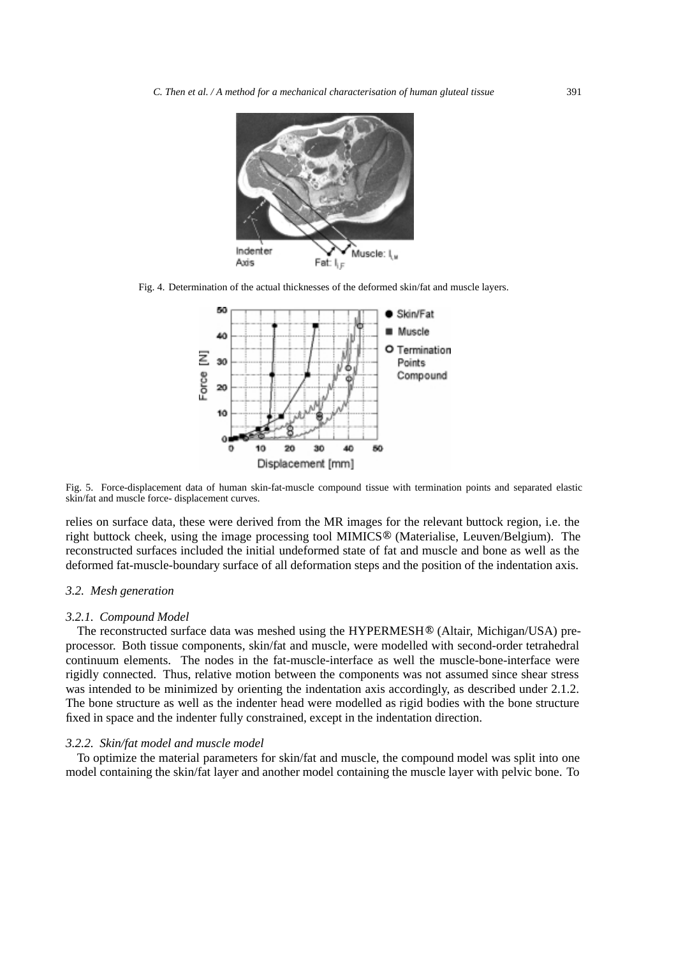

Fig. 4. Determination of the actual thicknesses of the deformed skin/fat and muscle layers.



Fig. 5. Force-displacement data of human skin-fat-muscle compound tissue with termination points and separated elastic skin/fat and muscle force- displacement curves.

relies on surface data, these were derived from the MR images for the relevant buttock region, i.e. the right buttock cheek, using the image processing tool MIMICS<sup>®</sup> (Materialise, Leuven/Belgium). The reconstructed surfaces included the initial undeformed state of fat and muscle and bone as well as the deformed fat-muscle-boundary surface of all deformation steps and the position of the indentation axis.

#### *3.2. Mesh generation*

#### *3.2.1. Compound Model*

The reconstructed surface data was meshed using the HYPERMESH® (Altair, Michigan/USA) preprocessor. Both tissue components, skin/fat and muscle, were modelled with second-order tetrahedral continuum elements. The nodes in the fat-muscle-interface as well the muscle-bone-interface were rigidly connected. Thus, relative motion between the components was not assumed since shear stress was intended to be minimized by orienting the indentation axis accordingly, as described under 2.1.2. The bone structure as well as the indenter head were modelled as rigid bodies with the bone structure fixed in space and the indenter fully constrained, except in the indentation direction.

#### *3.2.2. Skin/fat model and muscle model*

To optimize the material parameters for skin/fat and muscle, the compound model was split into one model containing the skin/fat layer and another model containing the muscle layer with pelvic bone. To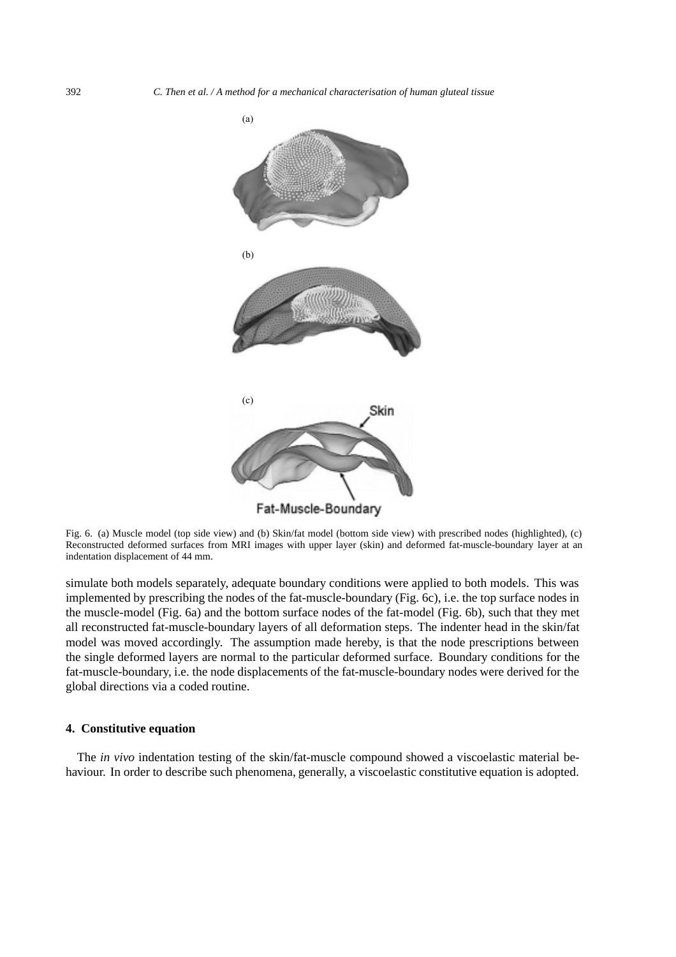

Fig. 6. (a) Muscle model (top side view) and (b) Skin/fat model (bottom side view) with prescribed nodes (highlighted), (c) Reconstructed deformed surfaces from MRI images with upper layer (skin) and deformed fat-muscle-boundary layer at an indentation displacement of 44 mm.

simulate both models separately, adequate boundary conditions were applied to both models. This was implemented by prescribing the nodes of the fat-muscle-boundary (Fig. 6c), i.e. the top surface nodes in the muscle-model (Fig. 6a) and the bottom surface nodes of the fat-model (Fig. 6b), such that they met all reconstructed fat-muscle-boundary layers of all deformation steps. The indenter head in the skin/fat model was moved accordingly. The assumption made hereby, is that the node prescriptions between the single deformed layers are normal to the particular deformed surface. Boundary conditions for the fat-muscle-boundary, i.e. the node displacements of the fat-muscle-boundary nodes were derived for the global directions via a coded routine.

## **4. Constitutive equation**

The *in vivo* indentation testing of the skin/fat-muscle compound showed a viscoelastic material behaviour. In order to describe such phenomena, generally, a viscoelastic constitutive equation is adopted.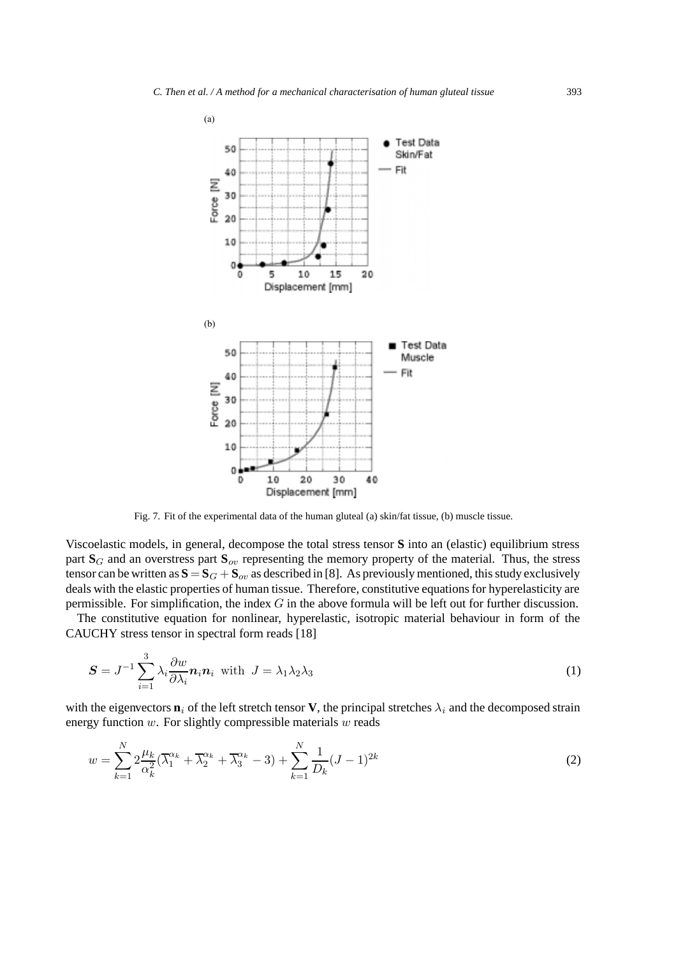

Fig. 7. Fit of the experimental data of the human gluteal (a) skin/fat tissue, (b) muscle tissue.

Viscoelastic models, in general, decompose the total stress tensor **S** into an (elastic) equilibrium stress part  $\mathbf{S}_G$  and an overstress part  $\mathbf{S}_{ov}$  representing the memory property of the material. Thus, the stress tensor can be written as  $S = S_G + S_{ov}$  as described in [8]. As previously mentioned, this study exclusively deals with the elastic properties of human tissue. Therefore, constitutive equations for hyperelasticity are permissible. For simplification, the index  $G$  in the above formula will be left out for further discussion.

The constitutive equation for nonlinear, hyperelastic, isotropic material behaviour in form of the CAUCHY stress tensor in spectral form reads [18]

$$
\mathbf{S} = J^{-1} \sum_{i=1}^{3} \lambda_i \frac{\partial w}{\partial \lambda_i} \mathbf{n}_i \mathbf{n}_i \text{ with } J = \lambda_1 \lambda_2 \lambda_3 \tag{1}
$$

with the eigenvectors  $\mathbf{n}_i$  of the left stretch tensor **V**, the principal stretches  $\lambda_i$  and the decomposed strain energy function  $w$ . For slightly compressible materials  $w$  reads

$$
w = \sum_{k=1}^{N} 2\frac{\mu_k}{\alpha_k^2} (\overline{\lambda}_1^{\alpha_k} + \overline{\lambda}_2^{\alpha_k} + \overline{\lambda}_3^{\alpha_k} - 3) + \sum_{k=1}^{N} \frac{1}{D_k} (J - 1)^{2k}
$$
 (2)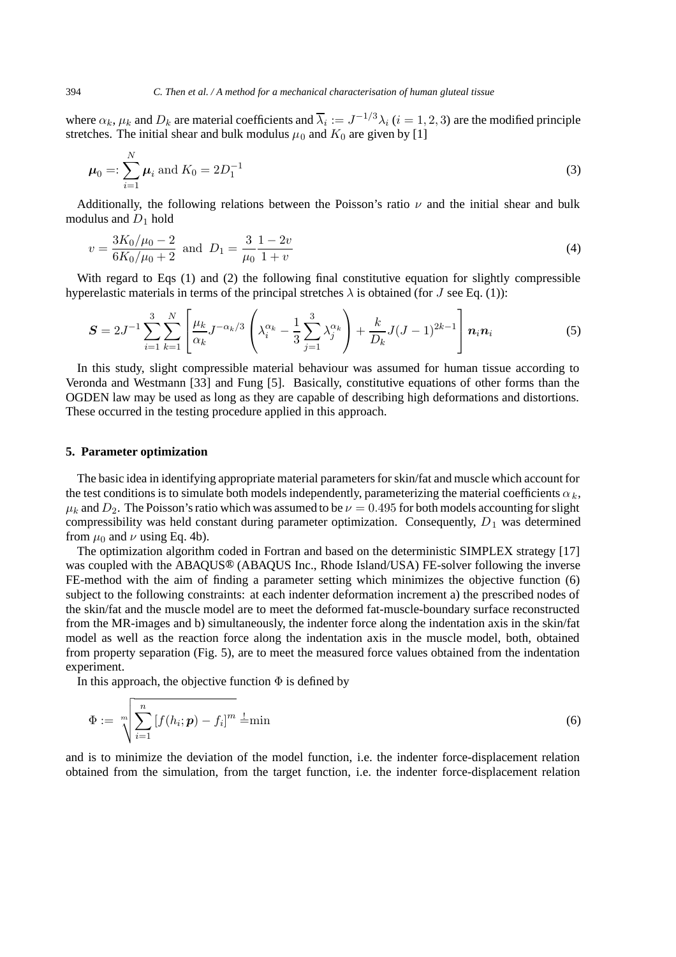where  $\alpha_k$ ,  $\mu_k$  and  $D_k$  are material coefficients and  $\overline{\lambda}_i := J^{-1/3} \lambda_i$   $(i = 1, 2, 3)$  are the modified principle stretches. The initial shear and bulk modulus  $\mu_0$  and  $K_0$  are given by [1]

$$
\mu_0 =: \sum_{i=1}^N \mu_i \text{ and } K_0 = 2D_1^{-1}
$$
 (3)

Additionally, the following relations between the Poisson's ratio  $\nu$  and the initial shear and bulk modulus and  $D_1$  hold

$$
v = \frac{3K_0/\mu_0 - 2}{6K_0/\mu_0 + 2}
$$
 and  $D_1 = \frac{3}{\mu_0} \frac{1 - 2v}{1 + v}$  (4)

With regard to Eqs (1) and (2) the following final constitutive equation for slightly compressible hyperelastic materials in terms of the principal stretches  $\lambda$  is obtained (for J see Eq. (1)):

$$
S = 2J^{-1} \sum_{i=1}^{3} \sum_{k=1}^{N} \left[ \frac{\mu_k}{\alpha_k} J^{-\alpha_k/3} \left( \lambda_i^{\alpha_k} - \frac{1}{3} \sum_{j=1}^{3} \lambda_j^{\alpha_k} \right) + \frac{k}{D_k} J (J - 1)^{2k - 1} \right] n_i n_i \tag{5}
$$

In this study, slight compressible material behaviour was assumed for human tissue according to Veronda and Westmann [33] and Fung [5]. Basically, constitutive equations of other forms than the OGDEN law may be used as long as they are capable of describing high deformations and distortions. These occurred in the testing procedure applied in this approach.

#### **5. Parameter optimization**

The basic idea in identifying appropriate material parameters for skin/fat and muscle which account for the test conditions is to simulate both models independently, parameterizing the material coefficients  $\alpha_k$ ,  $\mu_k$  and  $D_2$ . The Poisson's ratio which was assumed to be  $\nu = 0.495$  for both models accounting for slight compressibility was held constant during parameter optimization. Consequently,  $D_1$  was determined from  $\mu_0$  and  $\nu$  using Eq. 4b).

The optimization algorithm coded in Fortran and based on the deterministic SIMPLEX strategy [17] was coupled with the ABAQUS® (ABAQUS Inc., Rhode Island/USA) FE-solver following the inverse FE-method with the aim of finding a parameter setting which minimizes the objective function (6) subject to the following constraints: at each indenter deformation increment a) the prescribed nodes of the skin/fat and the muscle model are to meet the deformed fat-muscle-boundary surface reconstructed from the MR-images and b) simultaneously, the indenter force along the indentation axis in the skin/fat model as well as the reaction force along the indentation axis in the muscle model, both, obtained from property separation (Fig. 5), are to meet the measured force values obtained from the indentation experiment.

In this approach, the objective function  $\Phi$  is defined by

$$
\Phi := \sqrt[m]{\sum_{i=1}^{n} \left[ f(h_i; \mathbf{p}) - f_i \right]^m} \stackrel{!}{=} \text{min}
$$
\n(6)

and is to minimize the deviation of the model function, i.e. the indenter force-displacement relation obtained from the simulation, from the target function, i.e. the indenter force-displacement relation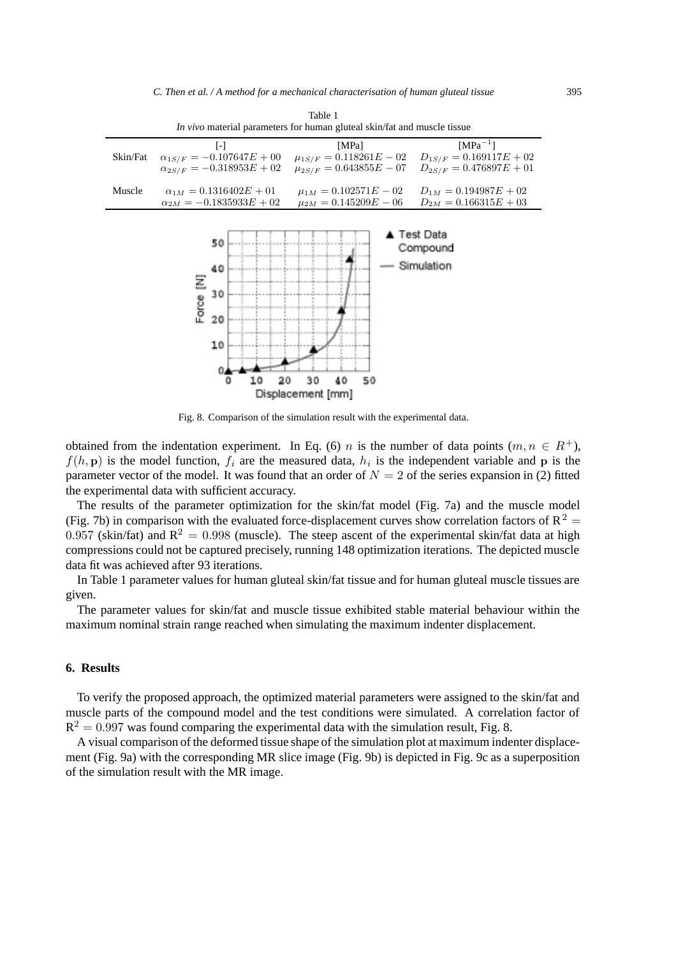| Table 1<br><i>In vivo</i> material parameters for human gluteal skin/fat and muscle tissue |                                    |                                 |                             |
|--------------------------------------------------------------------------------------------|------------------------------------|---------------------------------|-----------------------------|
| Skin/Fat                                                                                   | l-l                                | [MPa]                           | $IMPa^{-1}$ ]               |
|                                                                                            | $\alpha_{1S/F} = -0.107647E + 00$  | $\mu_{1S/F} = 0.118261E - 0.02$ | $D_{1S/F} = 0.169117E + 02$ |
|                                                                                            | $\alpha_{2S/F} = -0.318953E + 0.2$ | $\mu_{2S/F} = 0.643855E - 07$   | $D_{2S/F} = 0.476897E + 01$ |
| Muscle                                                                                     | $\alpha_{1M} = 0.1316402E + 01$    | $\mu_{1M} = 0.102571E - 0.2$    | $D_{1M} = 0.194987E + 0.2$  |
|                                                                                            | $\alpha_{2M} = -0.1835933E + 0.2$  | $\mu_{2M} = 0.145209E - 06$     | $D_{2M} = 0.166315E + 03$   |



Fig. 8. Comparison of the simulation result with the experimental data.

obtained from the indentation experiment. In Eq. (6) *n* is the number of data points  $(m, n \in R^+)$ ,  $f(h, \mathbf{p})$  is the model function,  $f_i$  are the measured data,  $h_i$  is the independent variable and **p** is the parameter vector of the model. It was found that an order of  $N = 2$  of the series expansion in (2) fitted the experimental data with sufficient accuracy.

The results of the parameter optimization for the skin/fat model (Fig. 7a) and the muscle model (Fig. 7b) in comparison with the evaluated force-displacement curves show correlation factors of  $R^2$  = 0.957 (skin/fat) and  $R^2 = 0.998$  (muscle). The steep ascent of the experimental skin/fat data at high compressions could not be captured precisely, running 148 optimization iterations. The depicted muscle data fit was achieved after 93 iterations.

In Table 1 parameter values for human gluteal skin/fat tissue and for human gluteal muscle tissues are given.

The parameter values for skin/fat and muscle tissue exhibited stable material behaviour within the maximum nominal strain range reached when simulating the maximum indenter displacement.

## **6. Results**

To verify the proposed approach, the optimized material parameters were assigned to the skin/fat and muscle parts of the compound model and the test conditions were simulated. A correlation factor of  $R<sup>2</sup> = 0.997$  was found comparing the experimental data with the simulation result, Fig. 8.

A visual comparison of the deformed tissue shape of the simulation plot at maximum indenter displacement (Fig. 9a) with the corresponding MR slice image (Fig. 9b) is depicted in Fig. 9c as a superposition of the simulation result with the MR image.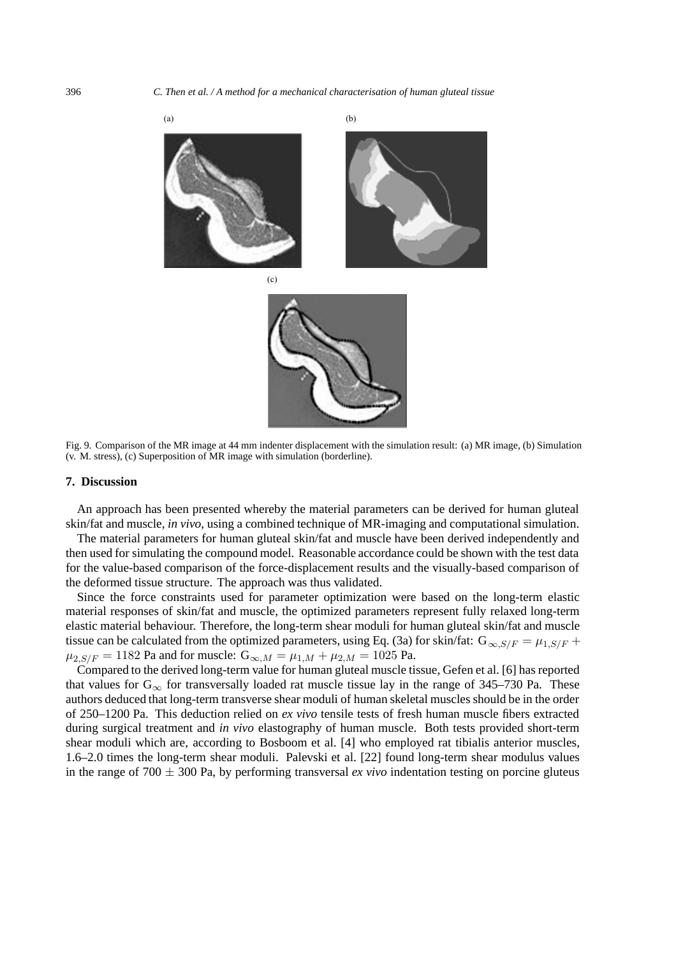



Fig. 9. Comparison of the MR image at 44 mm indenter displacement with the simulation result: (a) MR image, (b) Simulation (v. M. stress), (c) Superposition of MR image with simulation (borderline).

### **7. Discussion**

An approach has been presented whereby the material parameters can be derived for human gluteal skin/fat and muscle, *in vivo*, using a combined technique of MR-imaging and computational simulation.

The material parameters for human gluteal skin/fat and muscle have been derived independently and then used for simulating the compound model. Reasonable accordance could be shown with the test data for the value-based comparison of the force-displacement results and the visually-based comparison of the deformed tissue structure. The approach was thus validated.

Since the force constraints used for parameter optimization were based on the long-term elastic material responses of skin/fat and muscle, the optimized parameters represent fully relaxed long-term elastic material behaviour. Therefore, the long-term shear moduli for human gluteal skin/fat and muscle tissue can be calculated from the optimized parameters, using Eq. (3a) for skin/fat:  $G_{\infty,S/F} = \mu_{1,S/F} +$  $\mu_{2, S/F} = 1182$  Pa and for muscle:  $G_{\infty, M} = \mu_{1, M} + \mu_{2, M} = 1025$  Pa.

Compared to the derived long-term value for human gluteal muscle tissue, Gefen et al. [6] has reported that values for  $G_{\infty}$  for transversally loaded rat muscle tissue lay in the range of 345–730 Pa. These authors deduced that long-term transverse shear moduli of human skeletal muscles should be in the order of 250–1200 Pa. This deduction relied on *ex vivo* tensile tests of fresh human muscle fibers extracted during surgical treatment and *in vivo* elastography of human muscle. Both tests provided short-term shear moduli which are, according to Bosboom et al. [4] who employed rat tibialis anterior muscles, 1.6–2.0 times the long-term shear moduli. Palevski et al. [22] found long-term shear modulus values in the range of 700  $\pm$  300 Pa, by performing transversal *ex vivo* indentation testing on porcine gluteus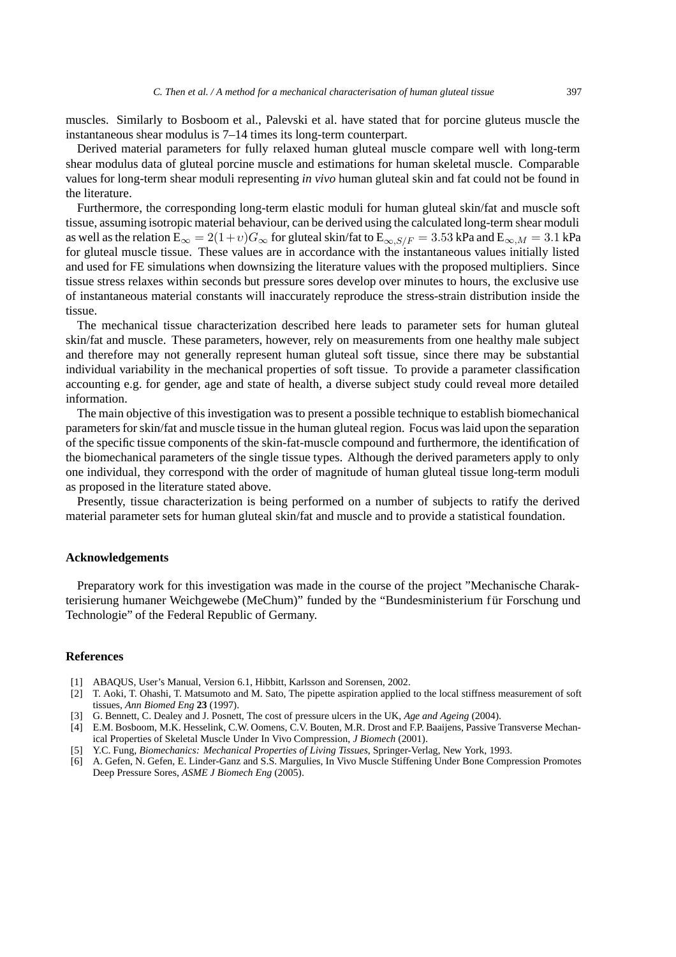muscles. Similarly to Bosboom et al., Palevski et al. have stated that for porcine gluteus muscle the instantaneous shear modulus is 7–14 times its long-term counterpart.

Derived material parameters for fully relaxed human gluteal muscle compare well with long-term shear modulus data of gluteal porcine muscle and estimations for human skeletal muscle. Comparable values for long-term shear moduli representing *in vivo* human gluteal skin and fat could not be found in the literature.

Furthermore, the corresponding long-term elastic moduli for human gluteal skin/fat and muscle soft tissue, assuming isotropic material behaviour, can be derived using the calculated long-term shear moduli as well as the relation  $E_{\infty} = 2(1+v)G_{\infty}$  for gluteal skin/fat to  $E_{\infty,S/F} = 3.53$  kPa and  $E_{\infty,M} = 3.1$  kPa for gluteal muscle tissue. These values are in accordance with the instantaneous values initially listed and used for FE simulations when downsizing the literature values with the proposed multipliers. Since tissue stress relaxes within seconds but pressure sores develop over minutes to hours, the exclusive use of instantaneous material constants will inaccurately reproduce the stress-strain distribution inside the tissue.

The mechanical tissue characterization described here leads to parameter sets for human gluteal skin/fat and muscle. These parameters, however, rely on measurements from one healthy male subject and therefore may not generally represent human gluteal soft tissue, since there may be substantial individual variability in the mechanical properties of soft tissue. To provide a parameter classification accounting e.g. for gender, age and state of health, a diverse subject study could reveal more detailed information.

The main objective of this investigation was to present a possible technique to establish biomechanical parameters for skin/fat and muscle tissue in the human gluteal region. Focus was laid upon the separation of the specific tissue components of the skin-fat-muscle compound and furthermore, the identification of the biomechanical parameters of the single tissue types. Although the derived parameters apply to only one individual, they correspond with the order of magnitude of human gluteal tissue long-term moduli as proposed in the literature stated above.

Presently, tissue characterization is being performed on a number of subjects to ratify the derived material parameter sets for human gluteal skin/fat and muscle and to provide a statistical foundation.

# **Acknowledgements**

Preparatory work for this investigation was made in the course of the project "Mechanische Charakterisierung humaner Weichgewebe (MeChum)" funded by the "Bundesministerium für Forschung und Technologie" of the Federal Republic of Germany.

## **References**

- [1] ABAQUS, User's Manual, Version 6.1, Hibbitt, Karlsson and Sorensen, 2002.
- [2] T. Aoki, T. Ohashi, T. Matsumoto and M. Sato, The pipette aspiration applied to the local stiffness measurement of soft tissues, *Ann Biomed Eng* **23** (1997).
- [3] G. Bennett, C. Dealey and J. Posnett, The cost of pressure ulcers in the UK, *Age and Ageing* (2004).
- [4] E.M. Bosboom, M.K. Hesselink, C.W. Oomens, C.V. Bouten, M.R. Drost and F.P. Baaijens, Passive Transverse Mechanical Properties of Skeletal Muscle Under In Vivo Compression, *J Biomech* (2001).
- [5] Y.C. Fung, *Biomechanics: Mechanical Properties of Living Tissues*, Springer-Verlag, New York, 1993.
- [6] A. Gefen, N. Gefen, E. Linder-Ganz and S.S. Margulies, In Vivo Muscle Stiffening Under Bone Compression Promotes Deep Pressure Sores, *ASME J Biomech Eng* (2005).